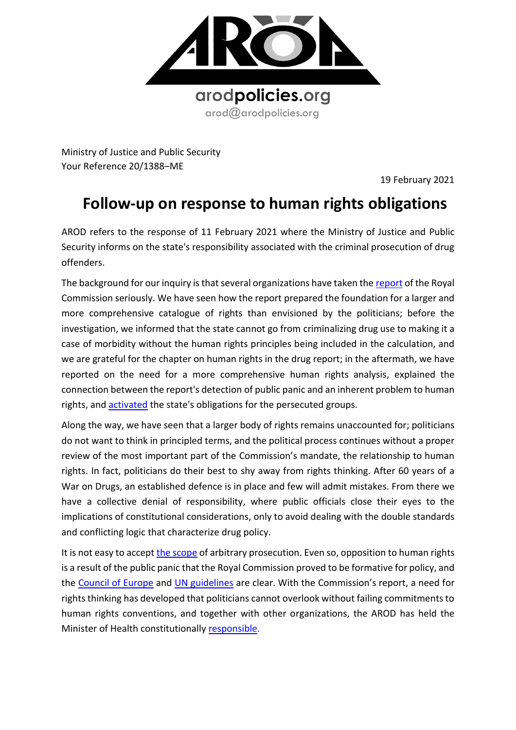

Ministry of Justice and Public Security Your Reference 20/1388–ME

19 February 2021

## **Follow-up on response to human rights obligations**

AROD refers to the response of 11 February 2021 where the Ministry of Justice and Public Security informs on the state's responsibility associated with the criminal prosecution of drug offenders.

The background for our inquiry is that several organizations have taken th[e report](https://www.regjeringen.no/contentassets/78d1c46cd04f42f881e1ad0376c09c2e/no/pdfs/nou201920190026000dddpdfs.pdf) of the Royal Commission seriously. We have seen how the report prepared the foundation for a larger and more comprehensive catalogue of rights than envisioned by the politicians; before the investigation, we informed that the state cannot go from criminalizing drug use to making it a case of morbidity without the human rights principles being included in the calculation, and we are grateful for the chapter on human rights in the drug report; in the aftermath, we have reported on the need for a more comprehensive human rights analysis, explained the connection between the report's detection of public panic and an inherent problem to human rights, and [activated](https://8c75b10d-e0b1-4d25-99ed-609c80001c6c.filesusr.com/ugd/a479b9_691bc7dd23f649cf9d224f58dc203107.pdf) the state's obligations for the persecuted groups.

Along the way, we have seen that a larger body of rights remains unaccounted for; politicians do not want to think in principled terms, and the political process continues without a proper review of the most important part of the Commission's mandate, the relationship to human rights. In fact, politicians do their best to shy away from rights thinking. After 60 years of a War on Drugs, an established defence is in place and few will admit mistakes. From there we have a collective denial of responsibility, where public officials close their eyes to the implications of constitutional considerations, only to avoid dealing with the double standards and conflicting logic that characterize drug policy.

It is not easy to accept [the scope](https://www.ohchr.org/Documents/Issues/Detention/Call/CSOs/Alliance_for_rights-oriented_drug_policies.pdf) of arbitrary prosecution. Even so, opposition to human rights is a result of the public panic that the Royal Commission proved to be formative for policy, and the [Council of Europe](http://www.assembly.coe.int/LifeRay/JUR/Pdf/TextesProvisoires/2019/20191115-DrugPolicyHumanRights-EN.pdf) and [UN guidelines](https://www.undp.org/content/undp/en/home/librarypage/hiv-aids/international-guidelines-on-human-rights-and-drug-policy.html) are clear. With the Commission's report, a need for rights thinking has developed that politicians cannot overlook without failing commitments to human rights conventions, and together with other organizations, the AROD has held the Minister of Health constitutionally [responsible.](https://8c75b10d-e0b1-4d25-99ed-609c80001c6c.filesusr.com/ugd/a479b9_691bc7dd23f649cf9d224f58dc203107.pdf)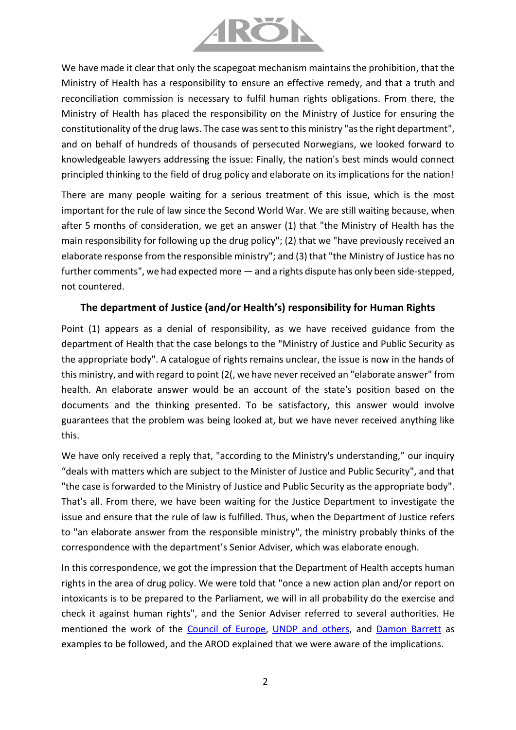

We have made it clear that only the scapegoat mechanism maintains the prohibition, that the Ministry of Health has a responsibility to ensure an effective remedy, and that a truth and reconciliation commission is necessary to fulfil human rights obligations. From there, the Ministry of Health has placed the responsibility on the Ministry of Justice for ensuring the constitutionality of the drug laws. The case was sent to this ministry "as the right department", and on behalf of hundreds of thousands of persecuted Norwegians, we looked forward to knowledgeable lawyers addressing the issue: Finally, the nation's best minds would connect principled thinking to the field of drug policy and elaborate on its implications for the nation!

There are many people waiting for a serious treatment of this issue, which is the most important for the rule of law since the Second World War. We are still waiting because, when after 5 months of consideration, we get an answer (1) that "the Ministry of Health has the main responsibility for following up the drug policy"; (2) that we "have previously received an elaborate response from the responsible ministry"; and (3) that "the Ministry of Justice has no further comments", we had expected more — and a rights dispute has only been side-stepped, not countered.

## **The department of Justice (and/or Health's) responsibility for Human Rights**

Point (1) appears as a denial of responsibility, as we have received guidance from the department of Health that the case belongs to the "Ministry of Justice and Public Security as the appropriate body". A catalogue of rights remains unclear, the issue is now in the hands of this ministry, and with regard to point (2(, we have never received an "elaborate answer" from health. An elaborate answer would be an account of the state's position based on the documents and the thinking presented. To be satisfactory, this answer would involve guarantees that the problem was being looked at, but we have never received anything like this.

We have only received a reply that, "according to the Ministry's understanding," our inquiry "deals with matters which are subject to the Minister of Justice and Public Security", and that "the case is forwarded to the Ministry of Justice and Public Security as the appropriate body". That's all. From there, we have been waiting for the Justice Department to investigate the issue and ensure that the rule of law is fulfilled. Thus, when the Department of Justice refers to "an elaborate answer from the responsible ministry", the ministry probably thinks of the correspondence with the department's Senior Adviser, which was elaborate enough.

In this correspondence, we got the impression that the Department of Health accepts human rights in the area of drug policy. We were told that "once a new action plan and/or report on intoxicants is to be prepared to the Parliament, we will in all probability do the exercise and check it against human rights", and the Senior Adviser referred to several authorities. He mentioned the work of the [Council of Europe,](http://www.assembly.coe.int/LifeRay/JUR/Pdf/TextesProvisoires/2019/20191115-DrugPolicyHumanRights-EN.pdf) [UNDP and others,](https://www.undp.org/content/undp/en/home/librarypage/hiv-aids/international-guidelines-on-human-rights-and-drug-policy.html) and [Damon Barrett](https://rm.coe.int/drug-policyandhumanrights-in-europe-eng/1680790e3d) as examples to be followed, and the AROD explained that we were aware of the implications.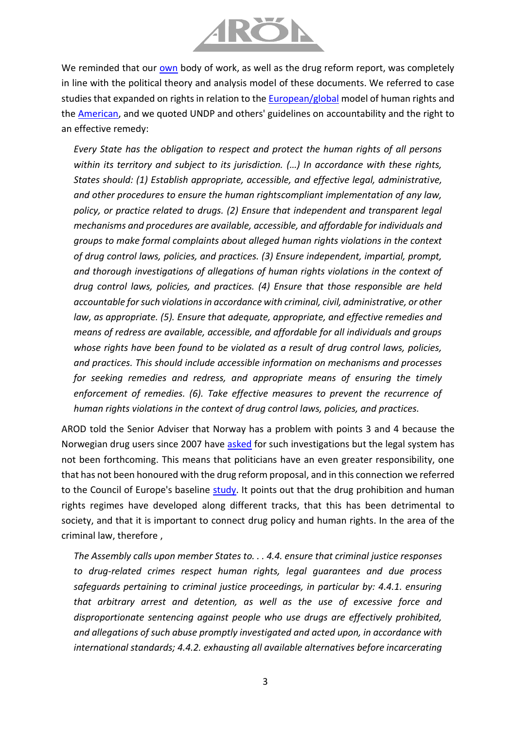

We reminded that our [own](https://8c75b10d-e0b1-4d25-99ed-609c80001c6c.filesusr.com/ugd/a479b9_a6fb947e46d54fc2a14823029e7a5459.pdf) body of work, as well as the drug reform report, was completely in line with the political theory and analysis model of these documents. We referred to case studies that expanded on rights in relation to the **European/global model of human rights and** the [American,](https://8c75b10d-e0b1-4d25-99ed-609c80001c6c.filesusr.com/ugd/a479b9_2a14fc7178df4a5b8d50e4d8a3a1fc0a.pdf) and we quoted UNDP and others' guidelines on accountability and the right to an effective remedy:

*Every State has the obligation to respect and protect the human rights of all persons within its territory and subject to its jurisdiction. (…) In accordance with these rights, States should: (1) Establish appropriate, accessible, and effective legal, administrative, and other procedures to ensure the human rightscompliant implementation of any law, policy, or practice related to drugs. (2) Ensure that independent and transparent legal mechanisms and procedures are available, accessible, and affordable for individuals and groups to make formal complaints about alleged human rights violations in the context of drug control laws, policies, and practices. (3) Ensure independent, impartial, prompt, and thorough investigations of allegations of human rights violations in the context of drug control laws, policies, and practices. (4) Ensure that those responsible are held accountable for such violations in accordance with criminal, civil, administrative, or other law, as appropriate. (5). Ensure that adequate, appropriate, and effective remedies and means of redress are available, accessible, and affordable for all individuals and groups whose rights have been found to be violated as a result of drug control laws, policies, and practices. This should include accessible information on mechanisms and processes for seeking remedies and redress, and appropriate means of ensuring the timely enforcement of remedies. (6). Take effective measures to prevent the recurrence of human rights violations in the context of drug control laws, policies, and practices.* 

AROD told the Senior Adviser that Norway has a problem with points 3 and 4 because the Norwegian drug users since 2007 have [asked](https://8c75b10d-e0b1-4d25-99ed-609c80001c6c.filesusr.com/ugd/a479b9_dcf552946b784c98af9331ab70c05c50.pdf) for such investigations but the legal system has not been forthcoming. This means that politicians have an even greater responsibility, one that has not been honoured with the drug reform proposal, and in this connection we referred to the Council of Europe's baseline [study.](http://www.assembly.coe.int/LifeRay/JUR/Pdf/TextesProvisoires/2019/20191115-DrugPolicyHumanRights-EN.pdf) It points out that the drug prohibition and human rights regimes have developed along different tracks, that this has been detrimental to society, and that it is important to connect drug policy and human rights. In the area of the criminal law, therefore ,

*The Assembly calls upon member States to. . . 4.4. ensure that criminal justice responses to drug-related crimes respect human rights, legal guarantees and due process safeguards pertaining to criminal justice proceedings, in particular by: 4.4.1. ensuring that arbitrary arrest and detention, as well as the use of excessive force and disproportionate sentencing against people who use drugs are effectively prohibited, and allegations of such abuse promptly investigated and acted upon, in accordance with international standards; 4.4.2. exhausting all available alternatives before incarcerating*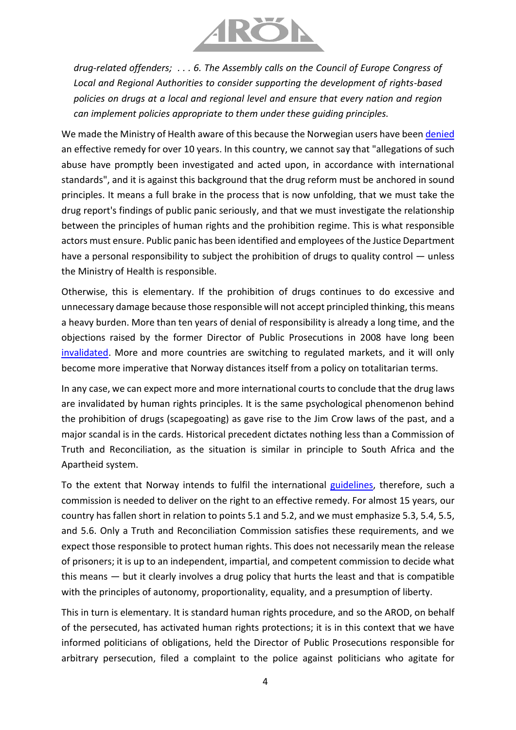

*drug-related offenders; . . . 6. The Assembly calls on the Council of Europe Congress of Local and Regional Authorities to consider supporting the development of rights-based policies on drugs at a local and regional level and ensure that every nation and region can implement policies appropriate to them under these guiding principles.* 

We made the Ministry of Health aware of this because the Norwegian users have been [denied](https://8c75b10d-e0b1-4d25-99ed-609c80001c6c.filesusr.com/ugd/a479b9_dcf552946b784c98af9331ab70c05c50.pdf) an effective remedy for over 10 years. In this country, we cannot say that "allegations of such abuse have promptly been investigated and acted upon, in accordance with international standards", and it is against this background that the drug reform must be anchored in sound principles. It means a full brake in the process that is now unfolding, that we must take the drug report's findings of public panic seriously, and that we must investigate the relationship between the principles of human rights and the prohibition regime. This is what responsible actors must ensure. Public panic has been identified and employees of the Justice Department have a personal responsibility to subject the prohibition of drugs to quality control — unless the Ministry of Health is responsible.

Otherwise, this is elementary. If the prohibition of drugs continues to do excessive and unnecessary damage because those responsible will not accept principled thinking, this means a heavy burden. More than ten years of denial of responsibility is already a long time, and the objections raised by the former Director of Public Prosecutions in 2008 have long been [invalidated.](https://8c75b10d-e0b1-4d25-99ed-609c80001c6c.filesusr.com/ugd/a479b9_0e8597c345eb400cb5deb96f6890b372.pdf) More and more countries are switching to regulated markets, and it will only become more imperative that Norway distances itself from a policy on totalitarian terms.

In any case, we can expect more and more international courts to conclude that the drug laws are invalidated by human rights principles. It is the same psychological phenomenon behind the prohibition of drugs (scapegoating) as gave rise to the Jim Crow laws of the past, and a major scandal is in the cards. Historical precedent dictates nothing less than a Commission of Truth and Reconciliation, as the situation is similar in principle to South Africa and the Apartheid system.

To the extent that Norway intends to fulfil the international [guidelines,](https://www.undp.org/content/undp/en/home/librarypage/hiv-aids/international-guidelines-on-human-rights-and-drug-policy.html) therefore, such a commission is needed to deliver on the right to an effective remedy. For almost 15 years, our country has fallen short in relation to points 5.1 and 5.2, and we must emphasize 5.3, 5.4, 5.5, and 5.6. Only a Truth and Reconciliation Commission satisfies these requirements, and we expect those responsible to protect human rights. This does not necessarily mean the release of prisoners; it is up to an independent, impartial, and competent commission to decide what this means — but it clearly involves a drug policy that hurts the least and that is compatible with the principles of autonomy, proportionality, equality, and a presumption of liberty.

This in turn is elementary. It is standard human rights procedure, and so the AROD, on behalf of the persecuted, has activated human rights protections; it is in this context that we have informed politicians of obligations, held the Director of Public Prosecutions responsible for arbitrary persecution, filed a complaint to the police against politicians who agitate for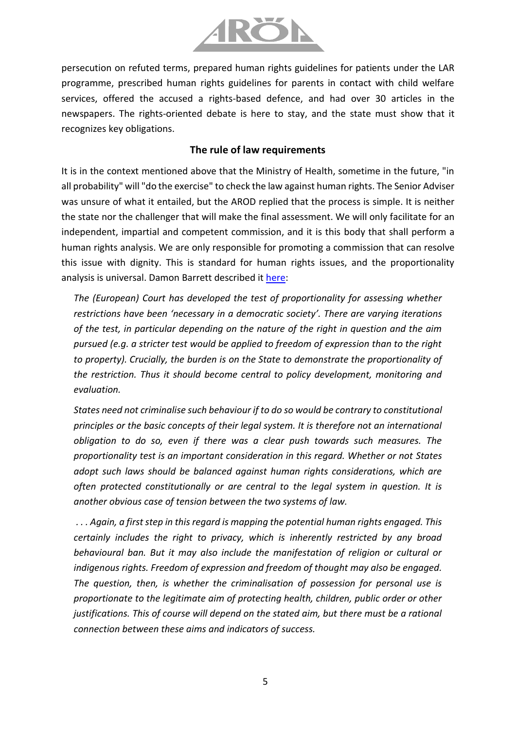

persecution on refuted terms, prepared human rights guidelines for patients under the LAR programme, prescribed human rights guidelines for parents in contact with child welfare services, offered the accused a rights-based defence, and had over 30 articles in the newspapers. The rights-oriented debate is here to stay, and the state must show that it recognizes key obligations.

## **The rule of law requirements**

It is in the context mentioned above that the Ministry of Health, sometime in the future, "in all probability" will "do the exercise" to check the law against human rights. The Senior Adviser was unsure of what it entailed, but the AROD replied that the process is simple. It is neither the state nor the challenger that will make the final assessment. We will only facilitate for an independent, impartial and competent commission, and it is this body that shall perform a human rights analysis. We are only responsible for promoting a commission that can resolve this issue with dignity. This is standard for human rights issues, and the proportionality analysis is universal. Damon Barrett described it [here:](https://rm.coe.int/drug-policyandhumanrights-in-europe-eng/1680790e3d)

*The (European) Court has developed the test of proportionality for assessing whether restrictions have been 'necessary in a democratic society'. There are varying iterations of the test, in particular depending on the nature of the right in question and the aim pursued (e.g. a stricter test would be applied to freedom of expression than to the right to property). Crucially, the burden is on the State to demonstrate the proportionality of the restriction. Thus it should become central to policy development, monitoring and evaluation.*

*States need not criminalise such behaviour if to do so would be contrary to constitutional principles or the basic concepts of their legal system. It is therefore not an international obligation to do so, even if there was a clear push towards such measures. The proportionality test is an important consideration in this regard. Whether or not States adopt such laws should be balanced against human rights considerations, which are often protected constitutionally or are central to the legal system in question. It is another obvious case of tension between the two systems of law.*

*. . . Again, a first step in this regard is mapping the potential human rights engaged. This certainly includes the right to privacy, which is inherently restricted by any broad behavioural ban. But it may also include the manifestation of religion or cultural or indigenous rights. Freedom of expression and freedom of thought may also be engaged. The question, then, is whether the criminalisation of possession for personal use is proportionate to the legitimate aim of protecting health, children, public order or other justifications. This of course will depend on the stated aim, but there must be a rational connection between these aims and indicators of success.*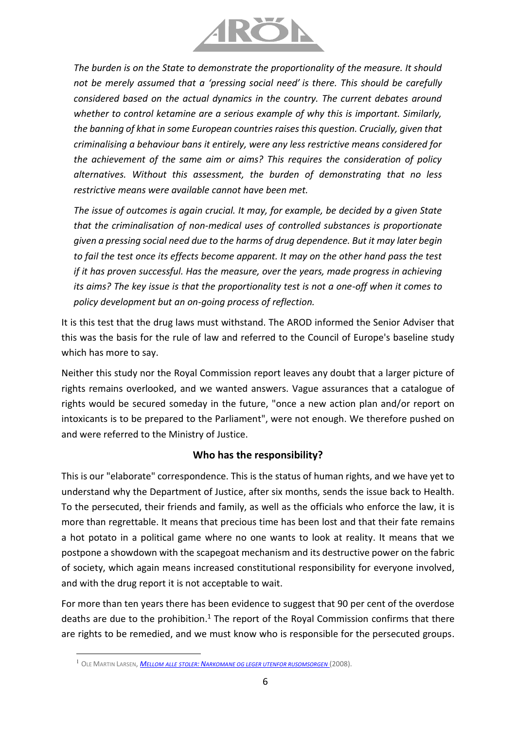

*The burden is on the State to demonstrate the proportionality of the measure. It should not be merely assumed that a 'pressing social need' is there. This should be carefully considered based on the actual dynamics in the country. The current debates around whether to control ketamine are a serious example of why this is important. Similarly, the banning of khat in some European countries raises this question. Crucially, given that criminalising a behaviour bans it entirely, were any less restrictive means considered for the achievement of the same aim or aims? This requires the consideration of policy alternatives. Without this assessment, the burden of demonstrating that no less restrictive means were available cannot have been met.*

*The issue of outcomes is again crucial. It may, for example, be decided by a given State that the criminalisation of non-medical uses of controlled substances is proportionate given a pressing social need due to the harms of drug dependence. But it may later begin to fail the test once its effects become apparent. It may on the other hand pass the test if it has proven successful. Has the measure, over the years, made progress in achieving its aims? The key issue is that the proportionality test is not a one-off when it comes to policy development but an on-going process of reflection.*

It is this test that the drug laws must withstand. The AROD informed the Senior Adviser that this was the basis for the rule of law and referred to the Council of Europe's baseline study which has more to say.

Neither this study nor the Royal Commission report leaves any doubt that a larger picture of rights remains overlooked, and we wanted answers. Vague assurances that a catalogue of rights would be secured someday in the future, "once a new action plan and/or report on intoxicants is to be prepared to the Parliament", were not enough. We therefore pushed on and were referred to the Ministry of Justice.

## **Who has the responsibility?**

This is our "elaborate" correspondence. This is the status of human rights, and we have yet to understand why the Department of Justice, after six months, sends the issue back to Health. To the persecuted, their friends and family, as well as the officials who enforce the law, it is more than regrettable. It means that precious time has been lost and that their fate remains a hot potato in a political game where no one wants to look at reality. It means that we postpone a showdown with the scapegoat mechanism and its destructive power on the fabric of society, which again means increased constitutional responsibility for everyone involved, and with the drug report it is not acceptable to wait.

For more than ten years there has been evidence to suggest that 90 per cent of the overdose deaths are due to the prohibition.<sup>1</sup> The report of the Royal Commission confirms that there are rights to be remedied, and we must know who is responsible for the persecuted groups.

<sup>1</sup> OLE MARTIN LARSEN, *MELLOM ALLE STOLER: N[ARKOMANE OG LEGER UTENFOR RUSOMSORGEN](https://tidsskriftet.no/2008/08/anmeldelser/kritisk-om-norsk-narkotikapolitikk)* (2008).